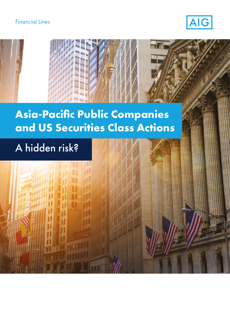# Financial Lines





# **Asia-Pacific Public Companies and US Securities Class Actions**

# A hidden risk?

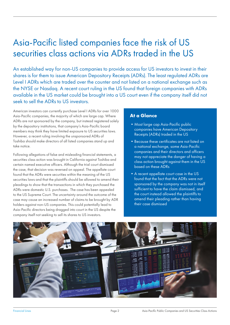# Asia-Pacific listed companies face the risk of US securities class actions via ADRs traded in the US

An established way for non-US companies to provide access for US investors to invest in their shares is for them to issue American Depository Receipts (ADRs). The least regulated ADRs are Level I ADRs which are traded over the counter and not listed on a national exchange such as the NYSE or Nasdaq. A recent court ruling in the US found that foreign companies with ADRs available in the US market could be brought into a US court even if the company itself did not seek to sell the ADRs to US investors.

American investors can currently purchase Level I ADRs for over 1000 Asia-Pacific companies, the majority of which are large cap. Where ADRs are not sponsored by the company, but instead registered solely by the depository institutions, that company's Asia-Pacific board members may think they have limited exposure to US securities laws. However, a recent ruling involving the unsponsored ADRs of Toshiba should make directors of all listed companies stand up and take notice.

Following allegations of false and misleading financial statements, a securities class action was brought in California against Toshiba and certain named executive officers. Although the trial court dismissed the case, that decision was reversed on appeal. The appellate court found that the ADRs were securities within the meaning of the US securities laws and that the plaintiffs should be allowed to amend their pleadings to show that the transactions in which they purchased the ADRs were domestic U.S. purchases. The case has been appealed to the US Supreme Court. The uncertainty around the outcome of the case may cause an increased number of claims to be brought by ADR holders against non-US companies. This could potentially lead to Asia-Pacific directors being dragged into court in the US despite the company itself not seeking to sell its shares to US investors.

#### **At a Glance**

- •Most large cap Asia-Pacific public companies have American Depository Receipts (ADRs) traded in the US
- •Because these certificates are not listed on a national exchange, some Asia-Pacific companies and their directors and officers may not appreciate the danger of having a class action brought against them in the US based on these ADRs
- •A recent appellate court case in the US found that the fact that the ADRs were not sponsored by the company was not in itself sufficient to have the claim dismissed, and the court instead allowed the plaintiffs to amend their pleading rather than having their case dismissed

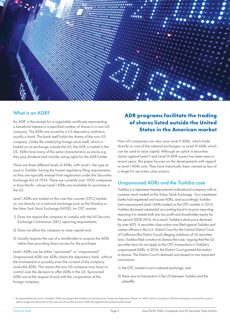

#### What is an ADR?

An ADR<sup>1</sup> is the receipt for a negotiable certificate representing a beneficial interest in a specified number of shares in a non-US company. The ADRs are issued by a US depository institution, usually a bank. The bank itself holds the shares of the non-US company. Unlike the underlying foreign stock itself, which is traded on an exchange outside the US, the ADR is traded in the US. ADRs have many of the same characteristics as stocks e.g. they pay dividend and include voting rights for the ADR holder.

There are three different levels of ADRs, with Level I, the type at issue in *Toshiba*, having the lowest regulatory filing requirements, as they are typically exempt from registration under the Securities Exchange Act of 1934. There are currently over 1000 companies in Asia-Pacific whose Level I ADRs are available for purchase in the US.

Level I ADRs are traded on the over-the-counter (OTC) market, i.e. not directly on a national exchange such as the Nasdaq or the New York Stock Exchange (NYSE). An OTC market:

- 1) Does not require the company to comply with the full Security Exchange Commission (SEC) reporting requirements,
- 2) Does not allow the company to raise capital and,
- 3) Usually requires the use of a stockbroker to acquire the ADRs rather than providing direct access for the purchaser

Level I ADRs can be either "sponsored" or "unsponsored". Unsponsored ADRs are ADRs where the depository bank, without the involvement or possibly even the consent of the company, issues the ADRs. This means the non-US company may have no control over the decision to offer ADRs in the US. Sponsored ADRs are at the request of and with the cooperation of the foreign company.

### **ADR programs facilitate the trading of shares listed outside the United States in the American market**

Non-US companies can also issue Level II ADRs, which trade directly on one of the national exchanges, or Level III ADRs which can be used to raise capital. Although an uptick in securities claims against Level II and Level III ADR issuers has been seen in recent years, this paper focuses on the developments with regard to Level I ADRs only. They have historically been viewed as less of a target for securities class actions.

#### Unsponsored ADRs and the *Toshiba* case

Toshiba is a Japanese-headquartered multinational company with its common stock traded on the Tokyo Stock Exchange. Four investment banks had registered and issued ADRs, and accordingly Toshiba had unsponsored Level I ADRs traded on the OTC market. In 2015, Toshiba disclosed substantial accounting fraud in its prior reporting requiring it to restate both pre-tax profit and shareholder equity for the period 2008-2014. As a result, Toshiba's stock price declined by over 40%. A securities class action was filed against Toshiba and certain officers in the U.S. District Court for the Central District Court of California (the District Court) alleging violations of US securities laws. Toshiba filed a motion to dismiss the case, arguing that the US securities laws do not apply to the OTC transactions in Toshiba's unsponsored ADRs. In 2016, the District Court granted the motion to dismiss. The District Court's dismissal was based on two important conclusions:

- 1) the OTC market is not a national exchange, and
- 2) there was no transaction in the US between Toshiba and the plaintiffs.

<sup>1.</sup> As explained by the court in *Toshiba*, ADRs are receipts that evidence ownership of an "American Depository Share" or "ADS" but for consistency with the commentary around this case as well as usage and discussion in the case we will use the acronym ADR with regard to the receipt and the share.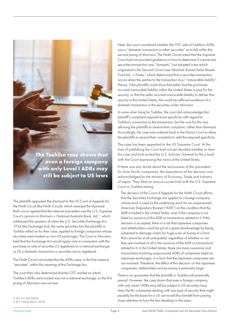**The** *Toshiba* **case shows that even a foreign company with only Level I ADRs may still be subject to US laws** 

The plaintiffs appealed the dismissal to the US Court of Appeals for the Ninth Circuit (the Ninth Circuit), which reversed the dismissal. Both courts agreed that the relevant precedent was the U.S. Supreme Court's opinion in Morrison v. National Australia Bank, Ltd.,<sup>2</sup> which addressed the question of when the U.S. Securities Exchange Act 1934 (the Exchange Act), the same securities law the plaintiffs in *Toshiba* relied on for their case, applied to foreign companies whose securities were traded on non-US exchanges. The Court in *Morrison* held that the Exchange Act would apply only in connection with the purchase or sale of securities (1) registered on a national exchange; or (2) a domestic transaction in securities not so registered.

The Ninth Circuit concluded that the ADRs were, in the first instance "securities" within the meaning of the Exchange Act.

The court then also determined that the OTC market on which Toshiba's ADRs were traded was not a national exchange, so the first prong of *Morrison* was not met.

Next, the court considered whether the OTC sale of Toshiba's ADRs was a "domestic transaction in other securities" as to fall within the second prong of *Morrison*. The Ninth Circuit noted that the Supreme Court had not provided guidance on how to determine if a particular securities transaction was "domestic", but adopted a test which originated in the Second Circuit case *Absolute Activist Value Master*  Fund Ltd., v. Ficeto,<sup>3</sup> which determined that a securities transaction occurs when the parties to the transaction incur "irrevocable liability". Hence, if the plaintiffs could show that either that the purchaser incurred irrevocable liability within the United States to pay for the security, or that the seller incurred irrevocable liability to deliver that security in the United States, this could be sufficient evidence of a domestic transaction in the securities under *Morrison.*

In some silver lining for Toshiba, the court did acknowledge that plaintiff's complaint required more specificity with regard to Toshiba's connection to the transaction, but the cure for this was allowing the plaintiffs to amend their complaint, rather than dismissal. Accordingly, the case was ordered back to the District Court to allow the plaintiffs to amend their complaint to add the required specificity.

The case has been appealed to the US Supreme Court. At the time of publishing the Court had not yet decided whether to hear the case and had invited the U.S. Solicitor General to file a brief with the Court expressing the views of the United States.

If there was any doubt about the seriousness of this precedent for Asia-Pacific companies, the importance of this decision was acknowledged by the ministry of Economy, Trade and Industry of Japan. They filed an *amicus curiae* brief with the U.S. Supreme Court in *Toshiba* stating:

The decision of the Court of Appeals for the Ninth Circuit affirms that the Securities Exchange Act applies to a foreign company whose stock is used as the underlying stock for an unsponsored American Depositary Receipt ("ADR") on the condition that the ADR is traded in the United States, even if the company is not listed on issuance of the ADR or transactions related to it. If this decision is accepted, there is a risk that Japanese companies and stakeholders could be put at a great disadvantage by being subjected to damage claims for huge sums of money in a form that cannot be at all anticipated, regardless of whether or not they are involved at all in the issuance of the ADR or transactions related to it. In the United States, there are many issuances and transactions involving unsponsored ADRs of companies listed on Japanese exchanges, in a form that the Japanese companies are not involved. Therefore, the effect of this decision on the Japanese companies, stakeholders and economy is extremely large.

There is no guarantee that the plaintiffs in *Toshiba* will eventually prevail. However, the case shows that even a foreign company with only Level I ADRs may still be subject to US securities laws. Asia-Pacific companies dealing with any type of security that might possibly be the basis for a US suit would thus benefit from paying close attention to how the law develops in this area.<br>2. 561 U.S. 247 (2010).<br>2. 677 E34.60 (24 Cir. 2012)

3. 677 F.3d 60 (2d Cir. 2012).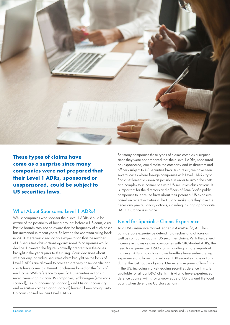

**These types of claims have come as a surprise since many companies were not prepared that their Level 1 ADRs, sponsored or unsponsored, could be subject to US securities laws.** 

#### What About Sponsored Level 1 ADRs?

Whilst companies who sponsor their Level 1 ADRs should be aware of the possibility of being brought before a US court, Asia-Pacific boards may not be aware that the frequency of such cases has increased in recent years. Following the *Morrison* ruling back in 2010, there was a reasonable expectation that the number of US securities class actions against non-US companies would decline. However, the figure is actually greater than the cases brought in the years prior to the ruling. Court decisions about whether any individual securities claim brought on the basis of Level 1 ADRs are allowed to proceed are very case-specific and courts have come to different conclusions based on the facts of each case. With reference to specific US securities actions in recent years against non-US companies, Volkswagen (emissions scandal), Tesco (accounting scandal), and Nissan (accounting and executive compensation scandal) have all been brought into US courts based on their Level 1 ADRs.

For many companies these types of claims come as a surprise since they were not prepared that their Level I ADRs, sponsored or unsponsored, could make the company and its directors and officers subject to US securities laws. As a result, we have seen several cases where foreign companies with Level I ADRs try to find a settlement as soon as possible in order to avoid the costs and complexity in connection with US securities class actions. It is important for the directors and officers of Asia-Pacific public companies to learn the facts about their potential US exposure based on recent activities in the US and make sure they take the necessary precautionary actions, including insuring appropriate D&O insurance is in place.

### Need for Specialist Claims Experience

As a D&O insurance market leader in Asia-Pacific, AIG has considerable experience defending directors and officers as well as companies against US securities claims. With the general increase in claims against companies with OTC-traded ADRs, the need for experienced D&O claims handling is more important than ever. AIG's major loss claims handlers have wide-ranging experience and have handled over 100 securities class actions during the last couple of years. Our extensive panel of law firms in the US, including market-leading securities defence firms, is available for all our D&O clients. It is vital to have experienced defence counsel with strong knowledge of US law and the local courts when defending US class actions.